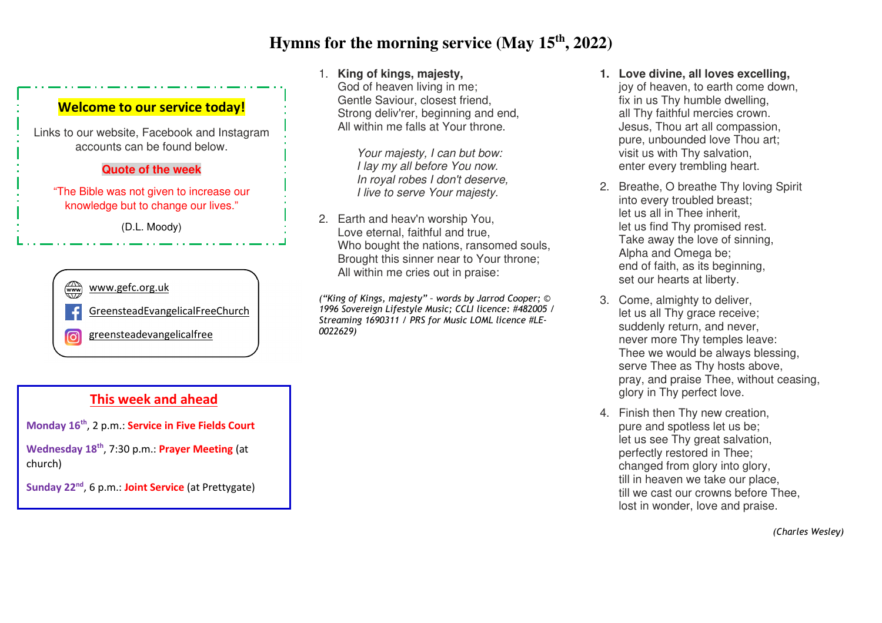# **Hymns for the morning service (May 15th, 2022)**



Links to our website, Facebook and Instagram accounts can be found below.

#### **Quote of the week**

"The Bible was not given to increase our knowledge but to change our lives."

(D.L. Moody)



### 1. **King of kings, majesty,**

 God of heaven living in me; Gentle Saviour, closest friend, Strong deliv'rer, beginning and end, All within me falls at Your throne.

> *Your majesty, I can but bow: I lay my all before You now. In royal robes I don't deserve, I live to serve Your majesty.*

2. Earth and heav'n worship You, Love eternal, faithful and true, Who bought the nations, ransomed souls, Brought this sinner near to Your throne; All within me cries out in praise:

*("King of Kings, majesty" – words by Jarrod Cooper; © 1996 Sovereign Lifestyle Music; CCLI licence: #482005 / Streaming 1690311 / PRS for Music LOML licence #LE-0022629)* 

- **1. Love divine, all loves excelling,**  joy of heaven, to earth come down, fix in us Thy humble dwelling, all Thy faithful mercies crown. Jesus, Thou art all compassion, pure, unbounded love Thou art; visit us with Thy salvation, enter every trembling heart.
- 2. Breathe, O breathe Thy loving Spirit into every troubled breast; let us all in Thee inherit, let us find Thy promised rest. Take away the love of sinning, Alpha and Omega be; end of faith, as its beginning, set our hearts at liberty.
- 3. Come, almighty to deliver, let us all Thy grace receive; suddenly return, and never, never more Thy temples leave: Thee we would be always blessing, serve Thee as Thy hosts above, pray, and praise Thee, without ceasing, glory in Thy perfect love.
- 4. Finish then Thy new creation, pure and spotless let us be; let us see Thy great salvation, perfectly restored in Thee; changed from glory into glory, till in heaven we take our place, till we cast our crowns before Thee, lost in wonder, love and praise.

**This week and ahead** 

**Monday 16th**, 2 p.m.: **Service in Five Fields Court**

**Wednesday 18th**, 7:30 p.m.: **Prayer Meeting** (at church)

**Sunday 22nd**, 6 p.m.: **Joint Service** (at Prettygate)

*(Charles Wesley)*